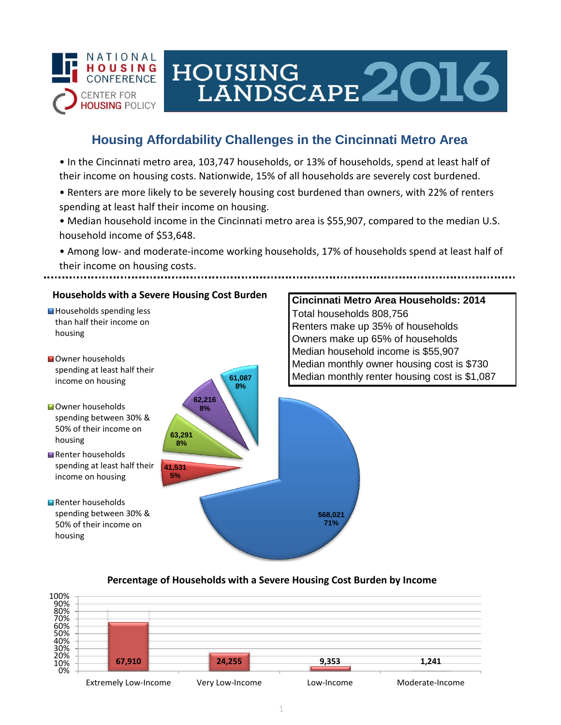

# HOUSING<br>LANDSCAPE 2016

**Cincinnati Metro Area Households: 2014**

Renters make up 35% of households

Total households 808,756

## **Housing Affordability Challenges in the Cincinnati Metro Area**

• In the Cincinnati metro area, 103,747 households, or 13% of households, spend at least half of their income on housing costs. Nationwide, 15% of all households are severely cost burdened.

- Renters are more likely to be severely housing cost burdened than owners, with 22% of renters spending at least half their income on housing.
- Median household income in the Cincinnati metro area is \$55,907, compared to the median U.S. household income of \$53,648.

• Among low- and moderate-income working households, 17% of households spend at least half of their income on housing costs.

## **Households with a Severe Housing Cost Burden**

- Households spending less than half their income on housing
- **N**Owner households spending at least half their income on housing
- **Owner households** spending between 30% & 50% of their income on housing
- Renter households spending at least half their income on housing
- Renter households spending between 30% & 50% of their income on housing



## **Percentage of Households with a Severe Housing Cost Burden by Income**